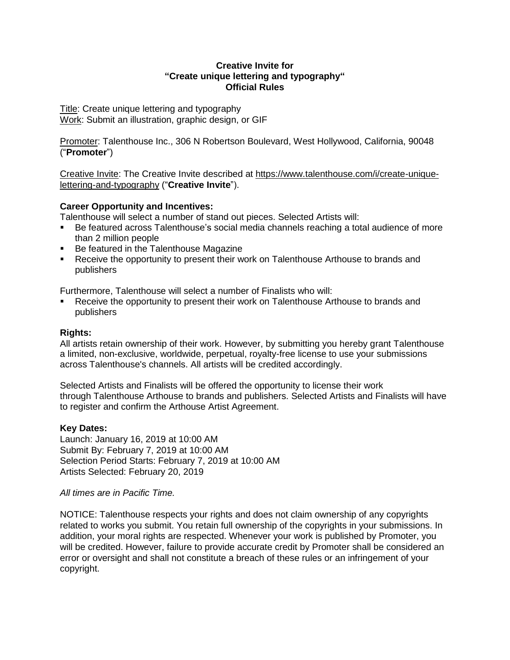#### **Creative Invite for "Create unique lettering and typography" Official Rules**

Title: Create unique lettering and typography Work: Submit an illustration, graphic design, or GIF

Promoter: Talenthouse Inc., 306 N Robertson Boulevard, West Hollywood, California, 90048 ("**Promoter**")

Creative Invite: The Creative Invite described at [https://www.talenthouse.com/i/create-unique](https://www.talenthouse.com/i/create-unique-lettering-and-typography)[lettering-and-typography](https://www.talenthouse.com/i/create-unique-lettering-and-typography) ("**Creative Invite**").

### **Career Opportunity and Incentives:**

Talenthouse will select a number of stand out pieces. Selected Artists will:

- Be featured across Talenthouse's social media channels reaching a total audience of more than 2 million people
- Be featured in the Talenthouse Magazine
- Receive the opportunity to present their work on Talenthouse Arthouse to brands and publishers

Furthermore, Talenthouse will select a number of Finalists who will:

 Receive the opportunity to present their work on Talenthouse Arthouse to brands and publishers

### **Rights:**

All artists retain ownership of their work. However, by submitting you hereby grant Talenthouse a limited, non-exclusive, worldwide, perpetual, royalty-free license to use your submissions across Talenthouse's channels. All artists will be credited accordingly.

Selected Artists and Finalists will be offered the opportunity to license their work through [Talenthouse](https://arthouse.talenthouse.com/) Arthouse to brands and publishers. Selected Artists and Finalists will have to register and confirm the Arthouse Artist [Agreement.](https://arthouse.talenthouse.com/artists/)

# **Key Dates:**

Launch: January 16, 2019 at 10:00 AM Submit By: February 7, 2019 at 10:00 AM Selection Period Starts: February 7, 2019 at 10:00 AM Artists Selected: February 20, 2019

### *All times are in Pacific Time.*

NOTICE: Talenthouse respects your rights and does not claim ownership of any copyrights related to works you submit. You retain full ownership of the copyrights in your submissions. In addition, your moral rights are respected. Whenever your work is published by Promoter, you will be credited. However, failure to provide accurate credit by Promoter shall be considered an error or oversight and shall not constitute a breach of these rules or an infringement of your copyright.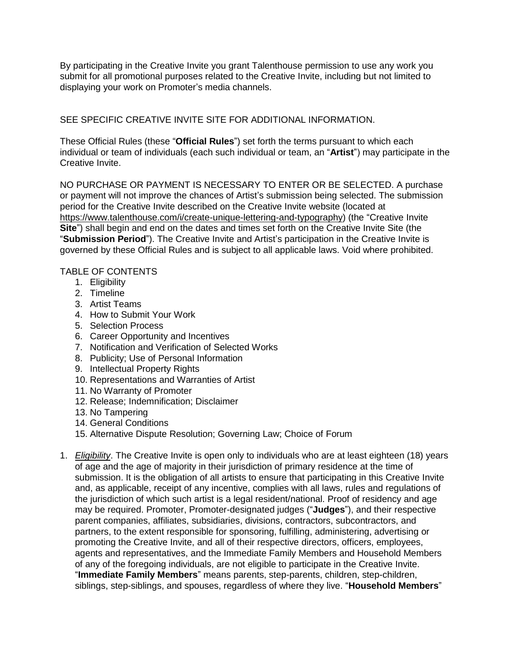By participating in the Creative Invite you grant Talenthouse permission to use any work you submit for all promotional purposes related to the Creative Invite, including but not limited to displaying your work on Promoter's media channels.

SEE SPECIFIC CREATIVE INVITE SITE FOR ADDITIONAL INFORMATION.

These Official Rules (these "**Official Rules**") set forth the terms pursuant to which each individual or team of individuals (each such individual or team, an "**Artist**") may participate in the Creative Invite.

NO PURCHASE OR PAYMENT IS NECESSARY TO ENTER OR BE SELECTED. A purchase or payment will not improve the chances of Artist's submission being selected. The submission period for the Creative Invite described on the Creative Invite website (located at [https://www.talenthouse.com/i/create-unique-lettering-and-typography\)](https://www.talenthouse.com/i/create-unique-lettering-and-typography) (the "Creative Invite **Site**") shall begin and end on the dates and times set forth on the Creative Invite Site (the "**Submission Period**"). The Creative Invite and Artist's participation in the Creative Invite is governed by these Official Rules and is subject to all applicable laws. Void where prohibited.

## TABLE OF CONTENTS

- 1. Eligibility
- 2. Timeline
- 3. Artist Teams
- 4. How to Submit Your Work
- 5. Selection Process
- 6. Career Opportunity and Incentives
- 7. Notification and Verification of Selected Works
- 8. Publicity; Use of Personal Information
- 9. Intellectual Property Rights
- 10. Representations and Warranties of Artist
- 11. No Warranty of Promoter
- 12. Release; Indemnification; Disclaimer
- 13. No Tampering
- 14. General Conditions
- 15. Alternative Dispute Resolution; Governing Law; Choice of Forum
- 1. *Eligibility*. The Creative Invite is open only to individuals who are at least eighteen (18) years of age and the age of majority in their jurisdiction of primary residence at the time of submission. It is the obligation of all artists to ensure that participating in this Creative Invite and, as applicable, receipt of any incentive, complies with all laws, rules and regulations of the jurisdiction of which such artist is a legal resident/national. Proof of residency and age may be required. Promoter, Promoter-designated judges ("**Judges**"), and their respective parent companies, affiliates, subsidiaries, divisions, contractors, subcontractors, and partners, to the extent responsible for sponsoring, fulfilling, administering, advertising or promoting the Creative Invite, and all of their respective directors, officers, employees, agents and representatives, and the Immediate Family Members and Household Members of any of the foregoing individuals, are not eligible to participate in the Creative Invite. "**Immediate Family Members**" means parents, step-parents, children, step-children, siblings, step-siblings, and spouses, regardless of where they live. "**Household Members**"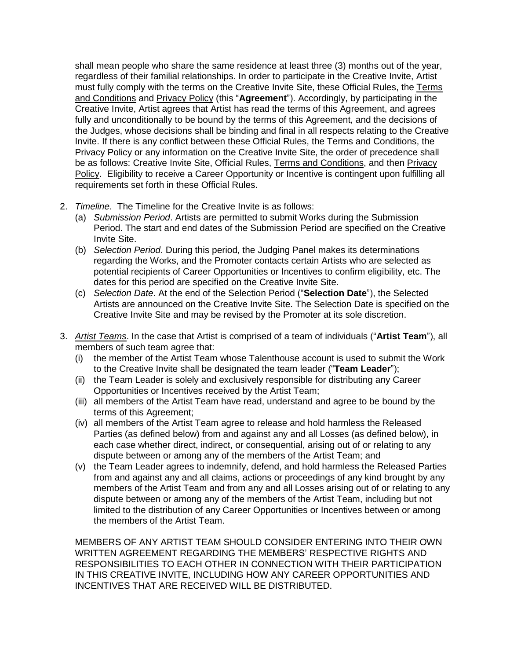shall mean people who share the same residence at least three (3) months out of the year, regardless of their familial relationships. In order to participate in the Creative Invite, Artist must fully comply with the terms on the Creative Invite Site, these Official Rules, the [Terms](https://www.talenthouse.com/terms-and-conditions) and [Conditions](https://www.talenthouse.com/terms-and-conditions) and [Privacy](https://www.talenthouse.com/privacy-policy) Policy (this "**Agreement**"). Accordingly, by participating in the Creative Invite, Artist agrees that Artist has read the terms of this Agreement, and agrees fully and unconditionally to be bound by the terms of this Agreement, and the decisions of the Judges, whose decisions shall be binding and final in all respects relating to the Creative Invite. If there is any conflict between these Official Rules, the Terms and Conditions, the Privacy Policy or any information on the Creative Invite Site, the order of precedence shall be as follows: Creative Invite Site, Official Rules, Terms and Conditions, and then Privacy Policy. Eligibility to receive a Career Opportunity or Incentive is contingent upon fulfilling all requirements set forth in these Official Rules.

- 2. *Timeline*. The Timeline for the Creative Invite is as follows:
	- (a) *Submission Period*. Artists are permitted to submit Works during the Submission Period. The start and end dates of the Submission Period are specified on the Creative Invite Site.
	- (b) *Selection Period*. During this period, the Judging Panel makes its determinations regarding the Works, and the Promoter contacts certain Artists who are selected as potential recipients of Career Opportunities or Incentives to confirm eligibility, etc. The dates for this period are specified on the Creative Invite Site.
	- (c) *Selection Date*. At the end of the Selection Period ("**Selection Date**"), the Selected Artists are announced on the Creative Invite Site. The Selection Date is specified on the Creative Invite Site and may be revised by the Promoter at its sole discretion.
- 3. *Artist Teams*. In the case that Artist is comprised of a team of individuals ("**Artist Team**"), all members of such team agree that:
	- (i) the member of the Artist Team whose Talenthouse account is used to submit the Work to the Creative Invite shall be designated the team leader ("**Team Leader**");
	- (ii) the Team Leader is solely and exclusively responsible for distributing any Career Opportunities or Incentives received by the Artist Team;
	- (iii) all members of the Artist Team have read, understand and agree to be bound by the terms of this Agreement;
	- (iv) all members of the Artist Team agree to release and hold harmless the Released Parties (as defined below) from and against any and all Losses (as defined below), in each case whether direct, indirect, or consequential, arising out of or relating to any dispute between or among any of the members of the Artist Team; and
	- (v) the Team Leader agrees to indemnify, defend, and hold harmless the Released Parties from and against any and all claims, actions or proceedings of any kind brought by any members of the Artist Team and from any and all Losses arising out of or relating to any dispute between or among any of the members of the Artist Team, including but not limited to the distribution of any Career Opportunities or Incentives between or among the members of the Artist Team.

MEMBERS OF ANY ARTIST TEAM SHOULD CONSIDER ENTERING INTO THEIR OWN WRITTEN AGREEMENT REGARDING THE MEMBERS' RESPECTIVE RIGHTS AND RESPONSIBILITIES TO EACH OTHER IN CONNECTION WITH THEIR PARTICIPATION IN THIS CREATIVE INVITE, INCLUDING HOW ANY CAREER OPPORTUNITIES AND INCENTIVES THAT ARE RECEIVED WILL BE DISTRIBUTED.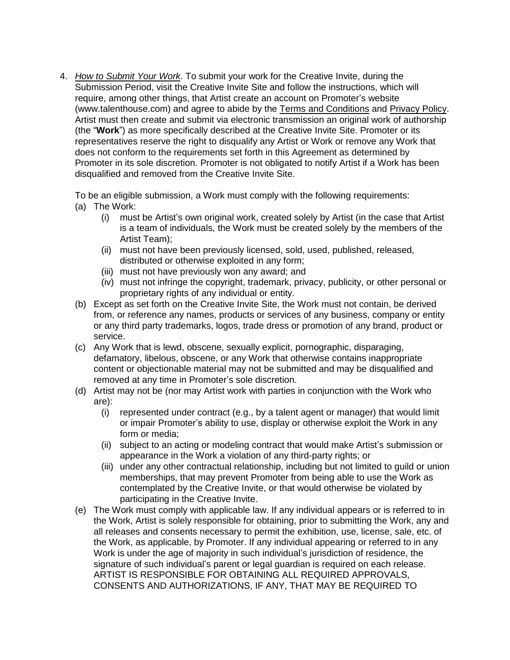4. *How to Submit Your Work*. To submit your work for the Creative Invite, during the Submission Period, visit the Creative Invite Site and follow the instructions, which will require, among other things, that Artist create an account on Promoter's website (www.talenthouse.com) and agree to abide by the Terms and Conditions and Privacy Policy. Artist must then create and submit via electronic transmission an original work of authorship (the "**Work**") as more specifically described at the Creative Invite Site. Promoter or its representatives reserve the right to disqualify any Artist or Work or remove any Work that does not conform to the requirements set forth in this Agreement as determined by Promoter in its sole discretion. Promoter is not obligated to notify Artist if a Work has been disqualified and removed from the Creative Invite Site.

To be an eligible submission, a Work must comply with the following requirements: (a) The Work:

- (i) must be Artist's own original work, created solely by Artist (in the case that Artist is a team of individuals, the Work must be created solely by the members of the Artist Team);
- (ii) must not have been previously licensed, sold, used, published, released, distributed or otherwise exploited in any form;
- (iii) must not have previously won any award; and
- (iv) must not infringe the copyright, trademark, privacy, publicity, or other personal or proprietary rights of any individual or entity.
- (b) Except as set forth on the Creative Invite Site, the Work must not contain, be derived from, or reference any names, products or services of any business, company or entity or any third party trademarks, logos, trade dress or promotion of any brand, product or service.
- (c) Any Work that is lewd, obscene, sexually explicit, pornographic, disparaging, defamatory, libelous, obscene, or any Work that otherwise contains inappropriate content or objectionable material may not be submitted and may be disqualified and removed at any time in Promoter's sole discretion.
- (d) Artist may not be (nor may Artist work with parties in conjunction with the Work who are):
	- (i) represented under contract (e.g., by a talent agent or manager) that would limit or impair Promoter's ability to use, display or otherwise exploit the Work in any form or media;
	- (ii) subject to an acting or modeling contract that would make Artist's submission or appearance in the Work a violation of any third-party rights; or
	- (iii) under any other contractual relationship, including but not limited to guild or union memberships, that may prevent Promoter from being able to use the Work as contemplated by the Creative Invite, or that would otherwise be violated by participating in the Creative Invite.
- (e) The Work must comply with applicable law. If any individual appears or is referred to in the Work, Artist is solely responsible for obtaining, prior to submitting the Work, any and all releases and consents necessary to permit the exhibition, use, license, sale, etc. of the Work, as applicable, by Promoter. If any individual appearing or referred to in any Work is under the age of majority in such individual's jurisdiction of residence, the signature of such individual's parent or legal guardian is required on each release. ARTIST IS RESPONSIBLE FOR OBTAINING ALL REQUIRED APPROVALS, CONSENTS AND AUTHORIZATIONS, IF ANY, THAT MAY BE REQUIRED TO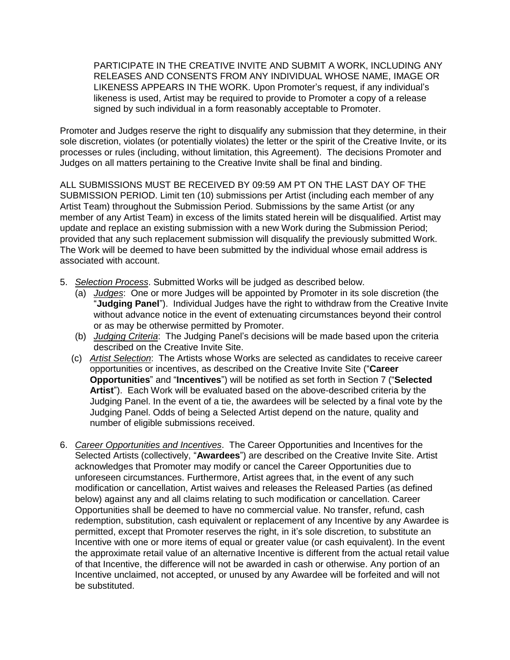PARTICIPATE IN THE CREATIVE INVITE AND SUBMIT A WORK, INCLUDING ANY RELEASES AND CONSENTS FROM ANY INDIVIDUAL WHOSE NAME, IMAGE OR LIKENESS APPEARS IN THE WORK. Upon Promoter's request, if any individual's likeness is used, Artist may be required to provide to Promoter a copy of a release signed by such individual in a form reasonably acceptable to Promoter.

Promoter and Judges reserve the right to disqualify any submission that they determine, in their sole discretion, violates (or potentially violates) the letter or the spirit of the Creative Invite, or its processes or rules (including, without limitation, this Agreement). The decisions Promoter and Judges on all matters pertaining to the Creative Invite shall be final and binding.

ALL SUBMISSIONS MUST BE RECEIVED BY 09:59 AM PT ON THE LAST DAY OF THE SUBMISSION PERIOD. Limit ten (10) submissions per Artist (including each member of any Artist Team) throughout the Submission Period. Submissions by the same Artist (or any member of any Artist Team) in excess of the limits stated herein will be disqualified. Artist may update and replace an existing submission with a new Work during the Submission Period; provided that any such replacement submission will disqualify the previously submitted Work. The Work will be deemed to have been submitted by the individual whose email address is associated with account.

- 5. *Selection Process*. Submitted Works will be judged as described below.
	- (a) *Judges*: One or more Judges will be appointed by Promoter in its sole discretion (the "**Judging Panel**"). Individual Judges have the right to withdraw from the Creative Invite without advance notice in the event of extenuating circumstances beyond their control or as may be otherwise permitted by Promoter.
	- (b) *Judging Criteria*: The Judging Panel's decisions will be made based upon the criteria described on the Creative Invite Site.
	- (c) *Artist Selection*: The Artists whose Works are selected as candidates to receive career opportunities or incentives, as described on the Creative Invite Site ("**Career Opportunities**" and "**Incentives**") will be notified as set forth in Section 7 ("**Selected Artist**"). Each Work will be evaluated based on the above-described criteria by the Judging Panel. In the event of a tie, the awardees will be selected by a final vote by the Judging Panel. Odds of being a Selected Artist depend on the nature, quality and number of eligible submissions received.
- 6. *Career Opportunities and Incentives*. The Career Opportunities and Incentives for the Selected Artists (collectively, "**Awardees**") are described on the Creative Invite Site. Artist acknowledges that Promoter may modify or cancel the Career Opportunities due to unforeseen circumstances. Furthermore, Artist agrees that, in the event of any such modification or cancellation, Artist waives and releases the Released Parties (as defined below) against any and all claims relating to such modification or cancellation. Career Opportunities shall be deemed to have no commercial value. No transfer, refund, cash redemption, substitution, cash equivalent or replacement of any Incentive by any Awardee is permitted, except that Promoter reserves the right, in it's sole discretion, to substitute an Incentive with one or more items of equal or greater value (or cash equivalent). In the event the approximate retail value of an alternative Incentive is different from the actual retail value of that Incentive, the difference will not be awarded in cash or otherwise. Any portion of an Incentive unclaimed, not accepted, or unused by any Awardee will be forfeited and will not be substituted.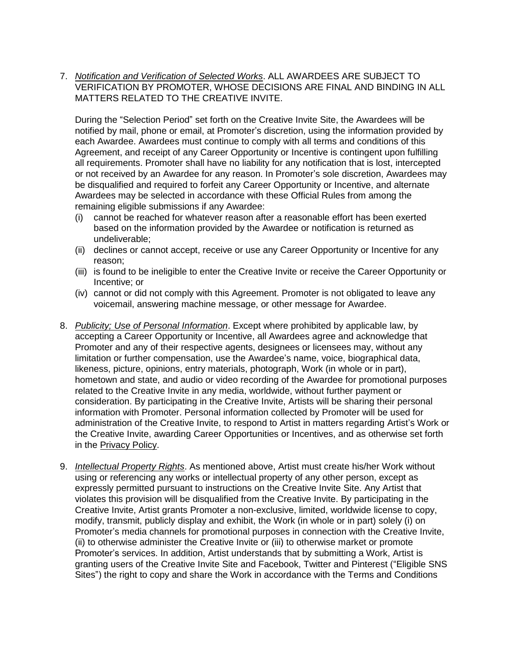7. *Notification and Verification of Selected Works*. ALL AWARDEES ARE SUBJECT TO VERIFICATION BY PROMOTER, WHOSE DECISIONS ARE FINAL AND BINDING IN ALL MATTERS RELATED TO THE CREATIVE INVITE.

During the "Selection Period" set forth on the Creative Invite Site, the Awardees will be notified by mail, phone or email, at Promoter's discretion, using the information provided by each Awardee. Awardees must continue to comply with all terms and conditions of this Agreement, and receipt of any Career Opportunity or Incentive is contingent upon fulfilling all requirements. Promoter shall have no liability for any notification that is lost, intercepted or not received by an Awardee for any reason. In Promoter's sole discretion, Awardees may be disqualified and required to forfeit any Career Opportunity or Incentive, and alternate Awardees may be selected in accordance with these Official Rules from among the remaining eligible submissions if any Awardee:

- (i) cannot be reached for whatever reason after a reasonable effort has been exerted based on the information provided by the Awardee or notification is returned as undeliverable;
- (ii) declines or cannot accept, receive or use any Career Opportunity or Incentive for any reason;
- (iii) is found to be ineligible to enter the Creative Invite or receive the Career Opportunity or Incentive; or
- (iv) cannot or did not comply with this Agreement. Promoter is not obligated to leave any voicemail, answering machine message, or other message for Awardee.
- 8. *Publicity; Use of Personal Information*. Except where prohibited by applicable law, by accepting a Career Opportunity or Incentive, all Awardees agree and acknowledge that Promoter and any of their respective agents, designees or licensees may, without any limitation or further compensation, use the Awardee's name, voice, biographical data, likeness, picture, opinions, entry materials, photograph, Work (in whole or in part), hometown and state, and audio or video recording of the Awardee for promotional purposes related to the Creative Invite in any media, worldwide, without further payment or consideration. By participating in the Creative Invite, Artists will be sharing their personal information with Promoter. Personal information collected by Promoter will be used for administration of the Creative Invite, to respond to Artist in matters regarding Artist's Work or the Creative Invite, awarding Career Opportunities or Incentives, and as otherwise set forth in the [Privacy](https://www.talenthouse.com/privacy-policy) Policy.
- 9. *Intellectual Property Rights*. As mentioned above, Artist must create his/her Work without using or referencing any works or intellectual property of any other person, except as expressly permitted pursuant to instructions on the Creative Invite Site. Any Artist that violates this provision will be disqualified from the Creative Invite. By participating in the Creative Invite, Artist grants Promoter a non-exclusive, limited, worldwide license to copy, modify, transmit, publicly display and exhibit, the Work (in whole or in part) solely (i) on Promoter's media channels for promotional purposes in connection with the Creative Invite, (ii) to otherwise administer the Creative Invite or (iii) to otherwise market or promote Promoter's services. In addition, Artist understands that by submitting a Work, Artist is granting users of the Creative Invite Site and Facebook, Twitter and Pinterest ("Eligible SNS Sites") the right to copy and share the Work in accordance with the Terms and Conditions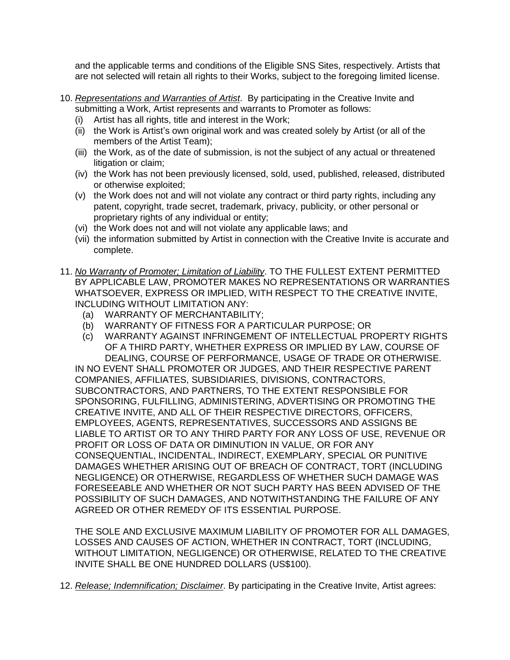and the applicable terms and conditions of the Eligible SNS Sites, respectively. Artists that are not selected will retain all rights to their Works, subject to the foregoing limited license.

- 10. *Representations and Warranties of Artist*. By participating in the Creative Invite and submitting a Work, Artist represents and warrants to Promoter as follows:
	- (i) Artist has all rights, title and interest in the Work;
	- (ii) the Work is Artist's own original work and was created solely by Artist (or all of the members of the Artist Team);
	- (iii) the Work, as of the date of submission, is not the subject of any actual or threatened litigation or claim;
	- (iv) the Work has not been previously licensed, sold, used, published, released, distributed or otherwise exploited;
	- (v) the Work does not and will not violate any contract or third party rights, including any patent, copyright, trade secret, trademark, privacy, publicity, or other personal or proprietary rights of any individual or entity;
	- (vi) the Work does not and will not violate any applicable laws; and
	- (vii) the information submitted by Artist in connection with the Creative Invite is accurate and complete.
- 11. *No Warranty of Promoter; Limitation of Liability*. TO THE FULLEST EXTENT PERMITTED BY APPLICABLE LAW, PROMOTER MAKES NO REPRESENTATIONS OR WARRANTIES WHATSOEVER, EXPRESS OR IMPLIED, WITH RESPECT TO THE CREATIVE INVITE, INCLUDING WITHOUT LIMITATION ANY:
	- (a) WARRANTY OF MERCHANTABILITY;
	- (b) WARRANTY OF FITNESS FOR A PARTICULAR PURPOSE; OR
	- (c) WARRANTY AGAINST INFRINGEMENT OF INTELLECTUAL PROPERTY RIGHTS OF A THIRD PARTY, WHETHER EXPRESS OR IMPLIED BY LAW, COURSE OF DEALING, COURSE OF PERFORMANCE, USAGE OF TRADE OR OTHERWISE.

IN NO EVENT SHALL PROMOTER OR JUDGES, AND THEIR RESPECTIVE PARENT COMPANIES, AFFILIATES, SUBSIDIARIES, DIVISIONS, CONTRACTORS, SUBCONTRACTORS, AND PARTNERS, TO THE EXTENT RESPONSIBLE FOR SPONSORING, FULFILLING, ADMINISTERING, ADVERTISING OR PROMOTING THE CREATIVE INVITE, AND ALL OF THEIR RESPECTIVE DIRECTORS, OFFICERS, EMPLOYEES, AGENTS, REPRESENTATIVES, SUCCESSORS AND ASSIGNS BE LIABLE TO ARTIST OR TO ANY THIRD PARTY FOR ANY LOSS OF USE, REVENUE OR PROFIT OR LOSS OF DATA OR DIMINUTION IN VALUE, OR FOR ANY CONSEQUENTIAL, INCIDENTAL, INDIRECT, EXEMPLARY, SPECIAL OR PUNITIVE DAMAGES WHETHER ARISING OUT OF BREACH OF CONTRACT, TORT (INCLUDING NEGLIGENCE) OR OTHERWISE, REGARDLESS OF WHETHER SUCH DAMAGE WAS FORESEEABLE AND WHETHER OR NOT SUCH PARTY HAS BEEN ADVISED OF THE POSSIBILITY OF SUCH DAMAGES, AND NOTWITHSTANDING THE FAILURE OF ANY AGREED OR OTHER REMEDY OF ITS ESSENTIAL PURPOSE.

THE SOLE AND EXCLUSIVE MAXIMUM LIABILITY OF PROMOTER FOR ALL DAMAGES, LOSSES AND CAUSES OF ACTION, WHETHER IN CONTRACT, TORT (INCLUDING, WITHOUT LIMITATION, NEGLIGENCE) OR OTHERWISE, RELATED TO THE CREATIVE INVITE SHALL BE ONE HUNDRED DOLLARS (US\$100).

12. *Release; Indemnification; Disclaimer*. By participating in the Creative Invite, Artist agrees: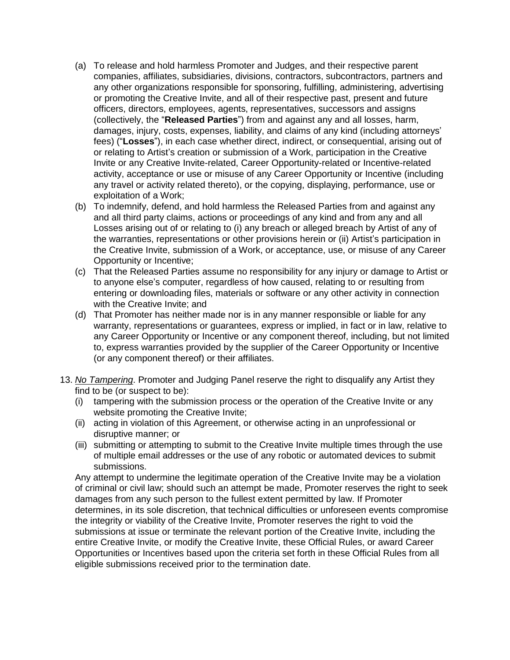- (a) To release and hold harmless Promoter and Judges, and their respective parent companies, affiliates, subsidiaries, divisions, contractors, subcontractors, partners and any other organizations responsible for sponsoring, fulfilling, administering, advertising or promoting the Creative Invite, and all of their respective past, present and future officers, directors, employees, agents, representatives, successors and assigns (collectively, the "**Released Parties**") from and against any and all losses, harm, damages, injury, costs, expenses, liability, and claims of any kind (including attorneys' fees) ("**Losses**"), in each case whether direct, indirect, or consequential, arising out of or relating to Artist's creation or submission of a Work, participation in the Creative Invite or any Creative Invite-related, Career Opportunity-related or Incentive-related activity, acceptance or use or misuse of any Career Opportunity or Incentive (including any travel or activity related thereto), or the copying, displaying, performance, use or exploitation of a Work;
- (b) To indemnify, defend, and hold harmless the Released Parties from and against any and all third party claims, actions or proceedings of any kind and from any and all Losses arising out of or relating to (i) any breach or alleged breach by Artist of any of the warranties, representations or other provisions herein or (ii) Artist's participation in the Creative Invite, submission of a Work, or acceptance, use, or misuse of any Career Opportunity or Incentive;
- (c) That the Released Parties assume no responsibility for any injury or damage to Artist or to anyone else's computer, regardless of how caused, relating to or resulting from entering or downloading files, materials or software or any other activity in connection with the Creative Invite; and
- (d) That Promoter has neither made nor is in any manner responsible or liable for any warranty, representations or guarantees, express or implied, in fact or in law, relative to any Career Opportunity or Incentive or any component thereof, including, but not limited to, express warranties provided by the supplier of the Career Opportunity or Incentive (or any component thereof) or their affiliates.
- 13. *No Tampering*. Promoter and Judging Panel reserve the right to disqualify any Artist they find to be (or suspect to be):
	- (i) tampering with the submission process or the operation of the Creative Invite or any website promoting the Creative Invite;
	- (ii) acting in violation of this Agreement, or otherwise acting in an unprofessional or disruptive manner; or
	- (iii) submitting or attempting to submit to the Creative Invite multiple times through the use of multiple email addresses or the use of any robotic or automated devices to submit submissions.

Any attempt to undermine the legitimate operation of the Creative Invite may be a violation of criminal or civil law; should such an attempt be made, Promoter reserves the right to seek damages from any such person to the fullest extent permitted by law. If Promoter determines, in its sole discretion, that technical difficulties or unforeseen events compromise the integrity or viability of the Creative Invite, Promoter reserves the right to void the submissions at issue or terminate the relevant portion of the Creative Invite, including the entire Creative Invite, or modify the Creative Invite, these Official Rules, or award Career Opportunities or Incentives based upon the criteria set forth in these Official Rules from all eligible submissions received prior to the termination date.